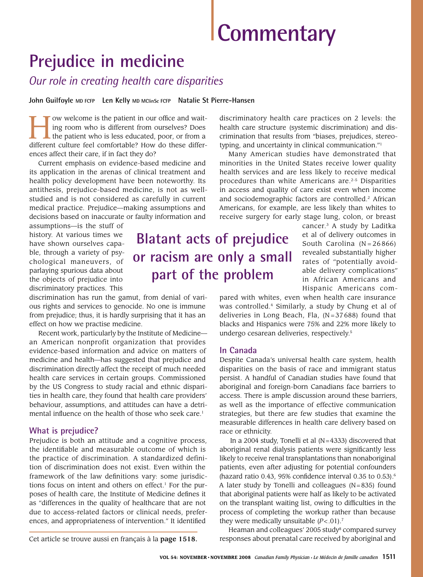# **Commentary**

# **Prejudice in medicine**

*Our role in creating health care disparities*

**John Guilfoyle MD FCFP Len Kelly MD MClinSc FCFP Natalie St Pierre-Hansen**

I ow welcome is the patient in our office and waiting room who is different from ourselves? Does the patient who is less educated, poor, or from a different culture feel comfortable? How do these differow welcome is the patient in our office and waiting room who is different from ourselves? Does  $\mathsf{\mathsf{L}}$  the patient who is less educated, poor, or from a ences affect their care, if in fact they do?

Current emphasis on evidence-based medicine and its application in the arenas of clinical treatment and health policy development have been noteworthy. Its antithesis, prejudice-based medicine, is not as wellstudied and is not considered as carefully in current medical practice. Prejudice—making assumptions and decisions based on inaccurate or faulty information and

assumptions—is the stuff of history. At various times we have shown ourselves capable, through a variety of psychological maneuvers, of parlaying spurious data about the objects of prejudice into discriminatory practices. This

discrimination has run the gamut, from denial of various rights and services to genocide. No one is immune from prejudice; thus, it is hardly surprising that it has an effect on how we practise medicine.

Recent work, particularly by the Institute of Medicine an American nonprofit organization that provides evidence-based information and advice on matters of medicine and health—has suggested that prejudice and discrimination directly affect the receipt of much needed health care services in certain groups. Commissioned by the US Congress to study racial and ethnic disparities in health care, they found that health care providers' behaviour, assumptions, and attitudes can have a detrimental influence on the health of those who seek care.<sup>1</sup>

## **What is prejudice?**

Prejudice is both an attitude and a cognitive process, the identifiable and measurable outcome of which is the practice of discrimination. A standardized definition of discrimination does not exist. Even within the framework of the law definitions vary: some jurisdictions focus on intent and others on effect.<sup>1</sup> For the purposes of health care, the Institute of Medicine defines it as "differences in the quality of healthcare that are not due to access-related factors or clinical needs, preferences, and appropriateness of intervention." It identified

**Blatant acts of prejudice or racism are only a small** 

**part of the problem**

discriminatory health care practices on 2 levels: the health care structure (systemic discrimination) and discrimination that results from "biases, prejudices, stereotyping, and uncertainty in clinical communication."<sup>1</sup> Many American studies have demonstrated that

minorities in the United States receive lower quality health services and are less likely to receive medical procedures than white Americans are.<sup>2-5</sup> Disparities in access and quality of care exist even when income and sociodemographic factors are controlled.<sup>2</sup> African Americans, for example, are less likely than whites to receive surgery for early stage lung, colon, or breast

> cancer.<sup>3</sup> A study by Laditka et al of delivery outcomes in South Carolina  $(N = 26866)$ revealed substantially higher rates of "potentially avoidable delivery complications" in African Americans and Hispanic Americans com-

pared with whites, even when health care insurance was controlled.<sup>4</sup> Similarly, a study by Chung et al of deliveries in Long Beach, Fla,  $(N=37688)$  found that blacks and Hispanics were 75% and 22% more likely to undergo cesarean deliveries, respectively.<sup>5</sup>

#### **In Canada**

Despite Canada's universal health care system, health disparities on the basis of race and immigrant status persist. A handful of Canadian studies have found that aboriginal and foreign-born Canadians face barriers to access. There is ample discussion around these barriers, as well as the importance of effective communication strategies, but there are few studies that examine the measurable differences in health care delivery based on race or ethnicity.

In a 2004 study, Tonelli et al  $(N=4333)$  discovered that aboriginal renal dialysis patients were significantly less likely to receive renal transplantations than nonaboriginal patients, even after adjusting for potential confounders (hazard ratio 0.43, 95% confidence interval 0.35 to 0.53). $^6$ A later study by Tonelli and colleagues ( $N = 835$ ) found that aboriginal patients were half as likely to be activated on the transplant waiting list, owing to difficulties in the process of completing the workup rather than because they were medically unsuitable  $(P < .01).7$ 

Heaman and colleagues' 2005 study<sup>s</sup> compared survey Cet article se trouve aussi en français à la page 1518. responses about prenatal care received by aboriginal and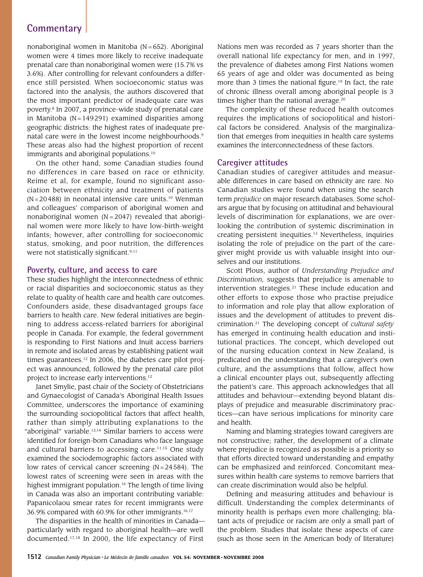# **Commentary**

nonaboriginal women in Manitoba ( $N = 652$ ). Aboriginal women were 4 times more likely to receive inadequate prenatal care than nonaboriginal women were (15.7% vs 3.6%). After controlling for relevant confounders a difference still persisted. When socioeconomic status was factored into the analysis, the authors discovered that the most important predictor of inadequate care was poverty.<sup>8</sup> In 2007, a province-wide study of prenatal care in Manitoba ( $N = 149291$ ) examined disparities among geographic districts: the highest rates of inadequate prenatal care were in the lowest income neighbourhoods.<sup>9</sup> These areas also had the highest proportion of recent immigrants and aboriginal populations.<sup>10</sup>

On the other hand, some Canadian studies found no differences in care based on race or ethnicity. Reime et al, for example, found no significant association between ethnicity and treatment of patients  $(N = 20488)$  in neonatal intensive care units.<sup>10</sup> Wenman and colleagues' comparison of aboriginal women and nonaboriginal women  $(N = 2047)$  revealed that aboriginal women were more likely to have low-birth-weight infants; however, after controlling for socioeconomic status, smoking, and poor nutrition, the differences were not statistically significant.<sup>9,11</sup>

#### **Poverty, culture, and access to care**

These studies highlight the interconnectedness of ethnic or racial disparities and socioeconomic status as they relate to quality of health care and health care outcomes. Confounders aside, these disadvantaged groups face barriers to health care. New federal initiatives are beginning to address access-related barriers for aboriginal people in Canada. For example, the federal government is responding to First Nations and Inuit access barriers in remote and isolated areas by establishing patient wait times guarantees.<sup>12</sup> In 2006, the diabetes care pilot project was announced, followed by the prenatal care pilot project to increase early interventions.<sup>12</sup>

Janet Smylie, past chair of the Society of Obstetricians and Gynaecologist of Canada's Aboriginal Health Issues Committee, underscores the importance of examining the surrounding sociopolitical factors that affect health, rather than simply attributing explanations to the "aboriginal" variable.<sup>13,14</sup> Similar barriers to access were identified for foreign-born Canadians who face language and cultural barriers to accessing care.<sup>11,15</sup> One study examined the sociodemographic factors associated with low rates of cervical cancer screening  $(N = 24584)$ . The lowest rates of screening were seen in areas with the highest immigrant population.<sup>16</sup> The length of time living in Canada was also an important contributing variable: Papanicolaou smear rates for recent immigrants were 36.9% compared with 60.9% for other immigrants.<sup>16,17</sup>

The disparities in the health of minorities in Canada particularly with regard to aboriginal health—are well documented.17,18 In 2000, the life expectancy of First

Nations men was recorded as 7 years shorter than the overall national life expectancy for men, and in 1997, the prevalence of diabetes among First Nations women 65 years of age and older was documented as being more than 3 times the national figure.<sup>19</sup> In fact, the rate of chronic illness overall among aboriginal people is 3 times higher than the national average.<sup>20</sup>

The complexity of these reduced health outcomes requires the implications of sociopolitical and historical factors be considered. Analysis of the marginalization that emerges from inequities in health care systems examines the interconnectedness of these factors.

### **Caregiver attitudes**

Canadian studies of caregiver attitudes and measurable differences in care based on ethnicity are rare. No Canadian studies were found when using the search term *prejudice* on major research databases. Some scholars argue that by focusing on attitudinal and behavioural levels of discrimination for explanations, we are overlooking the contribution of systemic discrimination in creating persistent inequities.<sup>13</sup> Nevertheless, inquiries isolating the role of prejudice on the part of the caregiver might provide us with valuable insight into ourselves and our institutions.

Scott Plous, author of *Understanding Prejudice and Discrimination,* suggests that prejudice is amenable to intervention strategies.<sup>21</sup> These include education and other efforts to expose those who practise prejudice to information and role play that allow exploration of issues and the development of attitudes to prevent discrimination.<sup>21</sup> The developing concept of *cultural safety* has emerged in continuing health education and institutional practices. The concept, which developed out of the nursing education context in New Zealand, is predicated on the understanding that a caregiver's own culture, and the assumptions that follow, affect how a clinical encounter plays out, subsequently affecting the patient's care. This approach acknowledges that all attitudes and behaviour—extending beyond blatant displays of prejudice and measurable discriminatory practices—can have serious implications for minority care and health.

Naming and blaming strategies toward caregivers are not constructive; rather, the development of a climate where prejudice is recognized as possible is a priority so that efforts directed toward understanding and empathy can be emphasized and reinforced. Concomitant measures within health care systems to remove barriers that can create discrimination would also be helpful.

Defining and measuring attitudes and behaviour is difficult. Understanding the complex determinants of minority health is perhaps even more challenging; blatant acts of prejudice or racism are only a small part of the problem. Studies that isolate these aspects of care (such as those seen in the American body of literature)